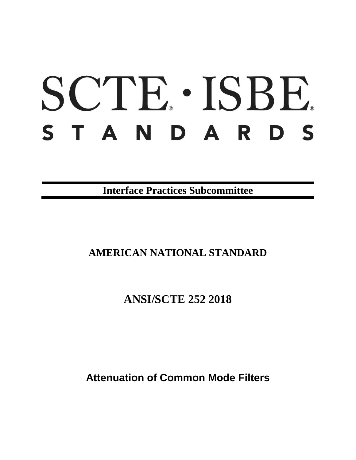# SCTE · ISBE. STANDARDS

**Interface Practices Subcommittee**

# **AMERICAN NATIONAL STANDARD**

**ANSI/SCTE 252 2018**

**Attenuation of Common Mode Filters**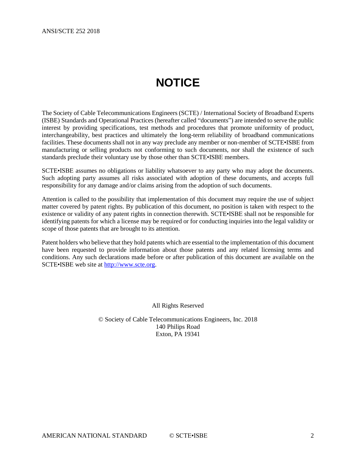# **NOTICE**

<span id="page-1-0"></span>The Society of Cable Telecommunications Engineers (SCTE) / International Society of Broadband Experts (ISBE) Standards and Operational Practices (hereafter called "documents") are intended to serve the public interest by providing specifications, test methods and procedures that promote uniformity of product, interchangeability, best practices and ultimately the long-term reliability of broadband communications facilities. These documents shall not in any way preclude any member or non-member of SCTE•ISBE from manufacturing or selling products not conforming to such documents, nor shall the existence of such standards preclude their voluntary use by those other than SCTE•ISBE members.

SCTE•ISBE assumes no obligations or liability whatsoever to any party who may adopt the documents. Such adopting party assumes all risks associated with adoption of these documents, and accepts full responsibility for any damage and/or claims arising from the adoption of such documents.

Attention is called to the possibility that implementation of this document may require the use of subject matter covered by patent rights. By publication of this document, no position is taken with respect to the existence or validity of any patent rights in connection therewith. SCTE•ISBE shall not be responsible for identifying patents for which a license may be required or for conducting inquiries into the legal validity or scope of those patents that are brought to its attention.

Patent holders who believe that they hold patents which are essential to the implementation of this document have been requested to provide information about those patents and any related licensing terms and conditions. Any such declarations made before or after publication of this document are available on the SCTE•ISBE web site at [http://www.scte.org.](http://www.scte.org/)

All Rights Reserved

© Society of Cable Telecommunications Engineers, Inc. 2018 140 Philips Road Exton, PA 19341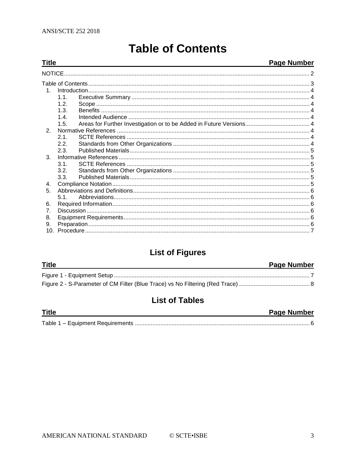<span id="page-2-0"></span>**Title** 

# **Table of Contents**

#### **Page Number**

| 1              |      |  |  |
|----------------|------|--|--|
|                | 1.1. |  |  |
|                | 12   |  |  |
|                | 1.3. |  |  |
|                | 14   |  |  |
|                | 1.5. |  |  |
| 2.             |      |  |  |
|                | 21   |  |  |
|                | 2.2. |  |  |
|                | 2.3. |  |  |
| $\mathcal{S}$  |      |  |  |
|                | 31   |  |  |
|                | 3.2. |  |  |
|                | 3.3. |  |  |
| 4.             |      |  |  |
| 5.             |      |  |  |
|                | 51   |  |  |
| 6.             |      |  |  |
| $\overline{7}$ |      |  |  |
| 8.             |      |  |  |
| 9.             |      |  |  |
|                |      |  |  |

## **List of Figures**

| <b>Title</b> | <b>Page Number</b> |
|--------------|--------------------|
|              |                    |
|              |                    |

## **List of Tables**

| <b>Title</b> | <b>Page Number</b> |
|--------------|--------------------|
|              |                    |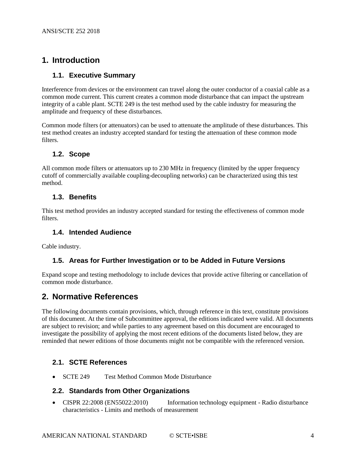### <span id="page-3-0"></span>**1. Introduction**

#### <span id="page-3-1"></span>**1.1. Executive Summary**

Interference from devices or the environment can travel along the outer conductor of a coaxial cable as a common mode current. This current creates a common mode disturbance that can impact the upstream integrity of a cable plant. SCTE 249 is the test method used by the cable industry for measuring the amplitude and frequency of these disturbances.

Common mode filters (or attenuators) can be used to attenuate the amplitude of these disturbances. This test method creates an industry accepted standard for testing the attenuation of these common mode filters.

#### <span id="page-3-2"></span>**1.2. Scope**

All common mode filters or attenuators up to 230 MHz in frequency (limited by the upper frequency cutoff of commercially available coupling-decoupling networks) can be characterized using this test method.

#### <span id="page-3-3"></span>**1.3. Benefits**

This test method provides an industry accepted standard for testing the effectiveness of common mode filters.

#### <span id="page-3-4"></span>**1.4. Intended Audience**

<span id="page-3-5"></span>Cable industry.

#### **1.5. Areas for Further Investigation or to be Added in Future Versions**

Expand scope and testing methodology to include devices that provide active filtering or cancellation of common mode disturbance.

#### <span id="page-3-6"></span>**2. Normative References**

The following documents contain provisions, which, through reference in this text, constitute provisions of this document. At the time of Subcommittee approval, the editions indicated were valid. All documents are subject to revision; and while parties to any agreement based on this document are encouraged to investigate the possibility of applying the most recent editions of the documents listed below, they are reminded that newer editions of those documents might not be compatible with the referenced version.

#### <span id="page-3-7"></span>**2.1. SCTE References**

<span id="page-3-8"></span>• SCTE 249 Test Method Common Mode Disturbance

#### **2.2. Standards from Other Organizations**

• CISPR 22:2008 (EN55022:2010) Information technology equipment - Radio disturbance characteristics - Limits and methods of measurement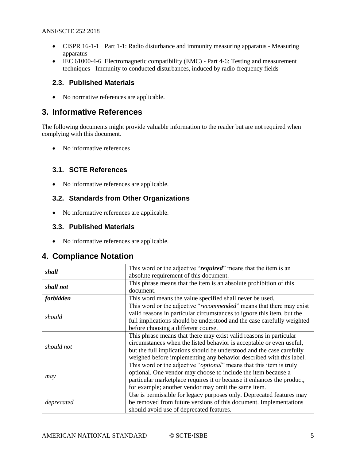- CISPR 16-1-1 Part 1-1: Radio disturbance and immunity measuring apparatus Measuring apparatus
- IEC 61000-4-6 Electromagnetic compatibility (EMC) Part 4-6: Testing and measurement techniques - Immunity to conducted disturbances, induced by radio-frequency fields

#### <span id="page-4-0"></span>**2.3. Published Materials**

• No normative references are applicable.

#### <span id="page-4-1"></span>**3. Informative References**

The following documents might provide valuable information to the reader but are not required when complying with this document.

• No informative references

#### <span id="page-4-2"></span>**3.1. SCTE References**

<span id="page-4-3"></span>• No informative references are applicable.

#### **3.2. Standards from Other Organizations**

• No informative references are applicable.

#### <span id="page-4-4"></span>**3.3. Published Materials**

• No informative references are applicable.

#### <span id="page-4-5"></span>**4. Compliance Notation**

| shall      | This word or the adjective "required" means that the item is an              |
|------------|------------------------------------------------------------------------------|
|            | absolute requirement of this document.                                       |
|            | This phrase means that the item is an absolute prohibition of this           |
| shall not  | document.                                                                    |
| forbidden  | This word means the value specified shall never be used.                     |
|            | This word or the adjective "recommended" means that there may exist          |
|            | valid reasons in particular circumstances to ignore this item, but the       |
| should     | full implications should be understood and the case carefully weighted       |
|            | before choosing a different course.                                          |
|            | This phrase means that there may exist valid reasons in particular           |
|            | circumstances when the listed behavior is acceptable or even useful,         |
| should not | but the full implications should be understood and the case carefully        |
|            | weighed before implementing any behavior described with this label.          |
|            | This word or the adjective " <i>optional</i> " means that this item is truly |
|            | optional. One vendor may choose to include the item because a                |
| may        | particular marketplace requires it or because it enhances the product,       |
|            | for example; another vendor may omit the same item.                          |
|            | Use is permissible for legacy purposes only. Deprecated features may         |
| deprecated | be removed from future versions of this document. Implementations            |
|            | should avoid use of deprecated features.                                     |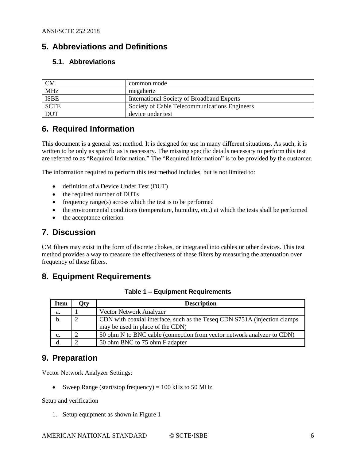#### <span id="page-5-0"></span>**5. Abbreviations and Definitions**

#### <span id="page-5-1"></span>**5.1. Abbreviations**

| <b>CM</b>   | common mode                                   |
|-------------|-----------------------------------------------|
| <b>MHz</b>  | megahertz                                     |
| <b>ISBE</b> | International Society of Broadband Experts    |
| <b>SCTE</b> | Society of Cable Telecommunications Engineers |
| <b>DUT</b>  | device under test                             |

#### <span id="page-5-2"></span>**6. Required Information**

This document is a general test method. It is designed for use in many different situations. As such, it is written to be only as specific as is necessary. The missing specific details necessary to perform this test are referred to as "Required Information." The "Required Information" is to be provided by the customer.

The information required to perform this test method includes, but is not limited to:

- definition of a Device Under Test (DUT)
- the required number of DUTs
- frequency range(s) across which the test is to be performed
- the environmental conditions (temperature, humidity, etc.) at which the tests shall be performed
- the acceptance criterion

#### <span id="page-5-3"></span>**7. Discussion**

CM filters may exist in the form of discrete chokes, or integrated into cables or other devices. This test method provides a way to measure the effectiveness of these filters by measuring the attenuation over frequency of these filters.

#### <span id="page-5-6"></span><span id="page-5-4"></span>**8. Equipment Requirements**

| <b>Item</b> | <b>"</b> | <b>Description</b>                                                        |
|-------------|----------|---------------------------------------------------------------------------|
| a.          |          | <b>Vector Network Analyzer</b>                                            |
| b.          |          | CDN with coaxial interface, such as the Teseq CDN S751A (injection clamps |
|             |          | may be used in place of the CDN)                                          |
| c.          |          | 50 ohm N to BNC cable (connection from vector network analyzer to CDN)    |
|             |          | 50 ohm BNC to 75 ohm F adapter                                            |

**Table 1 – Equipment Requirements**

#### <span id="page-5-5"></span>**9. Preparation**

Vector Network Analyzer Settings:

• Sweep Range (start/stop frequency) =  $100 \text{ kHz}$  to  $50 \text{ MHz}$ 

Setup and verification

1. Setup equipment as shown in Figure 1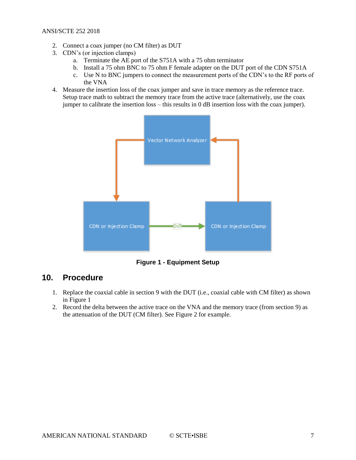#### ANSI/SCTE 252 2018

- 2. Connect a coax jumper (no CM filter) as DUT
- 3. CDN's (or injection clamps)
	- a. Terminate the AE port of the S751A with a 75 ohm terminator
	- b. Install a 75 ohm BNC to 75 ohm F female adapter on the DUT port of the CDN S751A
	- c. Use N to BNC jumpers to connect the measurement ports of the CDN's to the RF ports of the VNA
- 4. Measure the insertion loss of the coax jumper and save in trace memory as the reference trace. Setup trace math to subtract the memory trace from the active trace (alternatively, use the coax jumper to calibrate the insertion loss – this results in 0 dB insertion loss with the coax jumper).



**Figure 1 - Equipment Setup**

#### <span id="page-6-1"></span><span id="page-6-0"></span>**10. Procedure**

- 1. Replace the coaxial cable in section 9 with the DUT (i.e., coaxial cable with CM filter) as shown in Figure 1
- 2. Record the delta between the active trace on the VNA and the memory trace (from section 9) as the attenuation of the DUT (CM filter). See Figure 2 for example.